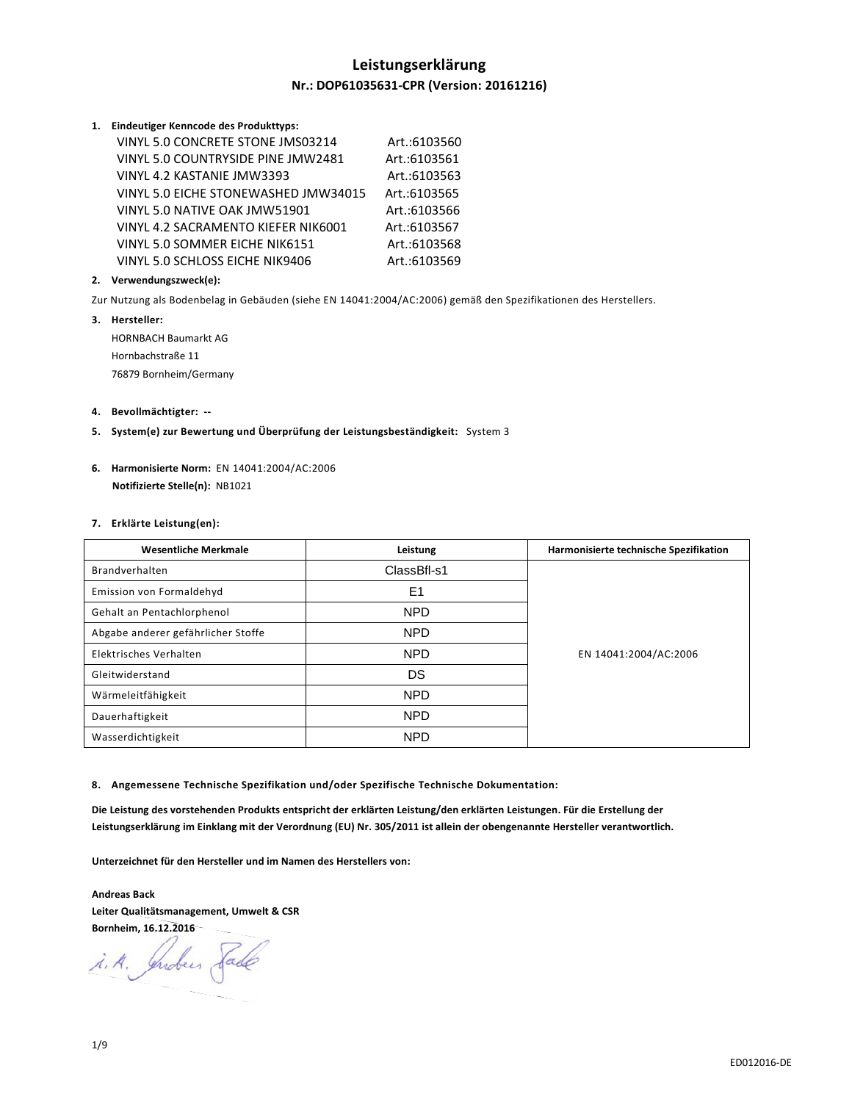# **Leistungserklärung Nr.: DOP61035631-CPR (Version: 20161216)**

#### **1. Eindeutiger Kenncode des Produkttyps:**

| VINYL 5.0 CONCRETE STONE JMS03214    | Art.:6103560 |
|--------------------------------------|--------------|
| VINYL 5.0 COUNTRYSIDE PINE JMW2481   | Art.:6103561 |
| VINYL 4.2 KASTANIE JMW3393           | Art.:6103563 |
| VINYL 5.0 EICHE STONEWASHED JMW34015 | Art.:6103565 |
| VINYL 5.0 NATIVE OAK JMW51901        | Art.:6103566 |
| VINYL 4.2 SACRAMENTO KIEFER NIK6001  | Art.:6103567 |
| VINYL 5.0 SOMMER EICHE NIK6151       | Art.:6103568 |
| VINYL 5.0 SCHLOSS EICHE NIK9406      | Art.:6103569 |

## **2. Verwendungszweck(e):**

Zur Nutzung als Bodenbelag in Gebäuden (siehe EN 14041:2004/AC:2006) gemäß den Spezifikationen des Herstellers.

**3. Hersteller:**  HORNBACH Baumarkt AG Hornbachstraße 11

76879 Bornheim/Germany

## **4. Bevollmächtigter: --**

- **5. System(e) zur Bewertung und Überprüfung der Leistungsbeständigkeit:** System 3
- **6. Harmonisierte Norm:** EN 14041:2004/AC:2006  **Notifizierte Stelle(n):** NB1021

## **7. Erklärte Leistung(en):**

| <b>Wesentliche Merkmale</b>        | Leistung       | Harmonisierte technische Spezifikation |
|------------------------------------|----------------|----------------------------------------|
| Brandverhalten                     | ClassBfl-s1    |                                        |
| Emission von Formaldehyd           | E <sub>1</sub> |                                        |
| Gehalt an Pentachlorphenol         | <b>NPD</b>     |                                        |
| Abgabe anderer gefährlicher Stoffe | <b>NPD</b>     |                                        |
| Elektrisches Verhalten             | <b>NPD</b>     | EN 14041:2004/AC:2006                  |
| Gleitwiderstand                    | DS             |                                        |
| Wärmeleitfähigkeit                 | <b>NPD</b>     |                                        |
| Dauerhaftigkeit                    | <b>NPD</b>     |                                        |
| Wasserdichtigkeit                  | <b>NPD</b>     |                                        |

**8. Angemessene Technische Spezifikation und/oder Spezifische Technische Dokumentation:** 

**Die Leistung des vorstehenden Produkts entspricht der erklärten Leistung/den erklärten Leistungen. Für die Erstellung der Leistungserklärung im Einklang mit der Verordnung (EU) Nr. 305/2011 ist allein der obengenannte Hersteller verantwortlich.** 

**Unterzeichnet für den Hersteller und im Namen des Herstellers von:** 

**Andreas Back Leiter Qualitätsmanagement, Umwelt & CSR Bornheim, 16.12.2016** 

i.A. Indees Sade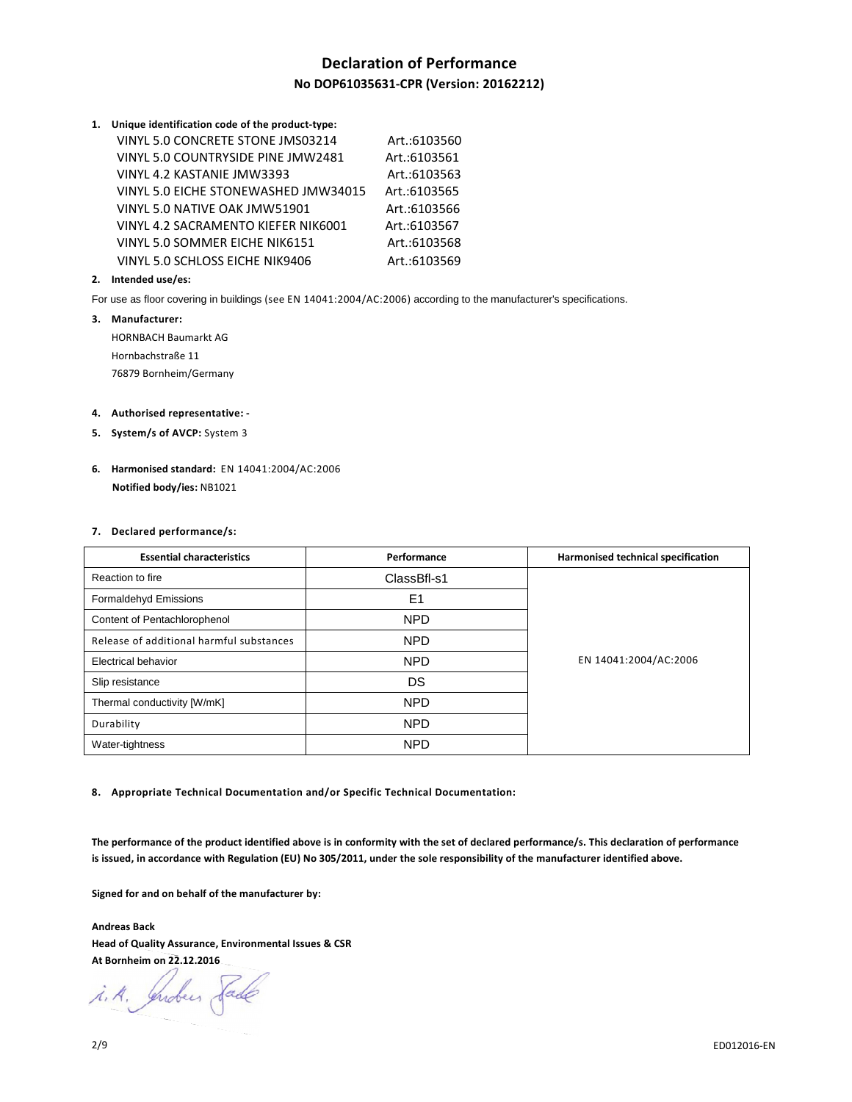# **Declaration of Performance No DOP61035631-CPR (Version: 20162212)**

| 1. Unique identification code of the product-type: |              |
|----------------------------------------------------|--------------|
| VINYL 5.0 CONCRETE STONE JMS03214                  | Art.:6103560 |
| VINYL 5.0 COUNTRYSIDE PINE JMW2481                 | Art.:6103561 |
| VINYL 4.2 KASTANIE JMW3393                         | Art.:6103563 |
| VINYL 5.0 EICHE STONEWASHED JMW34015               | Art.:6103565 |
| VINYL 5.0 NATIVE OAK JMW51901                      | Art.:6103566 |
| VINYL 4.2 SACRAMENTO KIEFER NIK6001                | Art.:6103567 |
| VINYL 5.0 SOMMER EICHE NIK6151                     | Art.:6103568 |
| VINYL 5.0 SCHLOSS EICHE NIK9406                    | Art.:6103569 |

#### **2. Intended use/es:**

For use as floor covering in buildings (see EN 14041:2004/AC:2006) according to the manufacturer's specifications.

#### **3. Manufacturer:**

HORNBACH Baumarkt AG Hornbachstraße 11 76879 Bornheim/Germany

#### **4. Authorised representative: -**

- **5. System/s of AVCP:** System 3
- **6. Harmonised standard:** EN 14041:2004/AC:2006  **Notified body/ies:** NB1021

#### **7. Declared performance/s:**

| <b>Essential characteristics</b>         | Performance    | Harmonised technical specification |
|------------------------------------------|----------------|------------------------------------|
| Reaction to fire                         | ClassBfl-s1    |                                    |
| Formaldehyd Emissions                    | E <sub>1</sub> |                                    |
| Content of Pentachlorophenol             | <b>NPD</b>     |                                    |
| Release of additional harmful substances | <b>NPD</b>     |                                    |
| <b>Electrical behavior</b>               | <b>NPD</b>     | EN 14041:2004/AC:2006              |
| Slip resistance                          | DS             |                                    |
| Thermal conductivity [W/mK]              | <b>NPD</b>     |                                    |
| Durability                               | <b>NPD</b>     |                                    |
| Water-tightness                          | <b>NPD</b>     |                                    |

**8. Appropriate Technical Documentation and/or Specific Technical Documentation:** 

**The performance of the product identified above is in conformity with the set of declared performance/s. This declaration of performance is issued, in accordance with Regulation (EU) No 305/2011, under the sole responsibility of the manufacturer identified above.** 

**Signed for and on behalf of the manufacturer by:** 

**Andreas Back Head of Quality Assurance, Environmental Issues & CSR At Bornheim on 22.12.2016** 

i.A. Indees Sade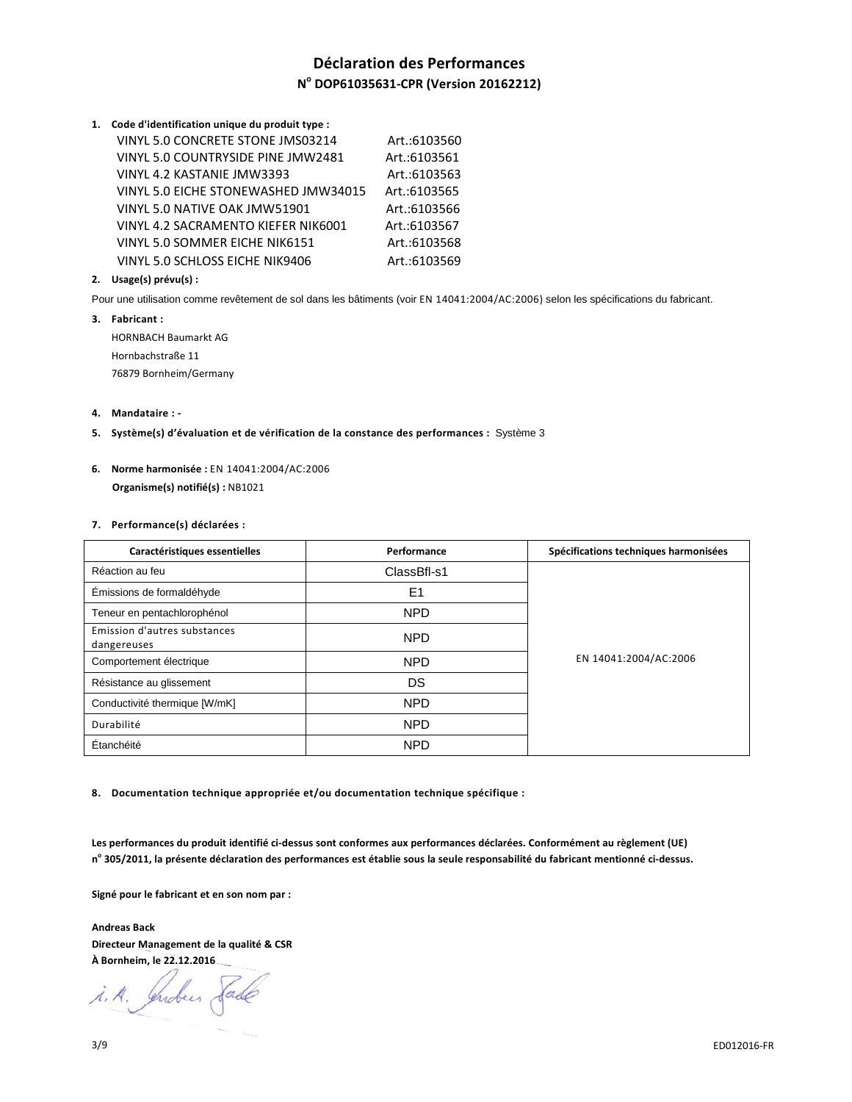# **Déclaration des Performances N o DOP61035631-CPR (Version 20162212)**

**1. Code d'identification unique du produit type :**

| VINYL 5.0 CONCRETE STONE JMS03214    | Art.:6103560 |
|--------------------------------------|--------------|
| VINYL 5.0 COUNTRYSIDE PINE JMW2481   | Art.:6103561 |
| VINYL 4.2 KASTANIE JMW3393           | Art.:6103563 |
| VINYL 5.0 EICHE STONEWASHED JMW34015 | Art.:6103565 |
| VINYL 5.0 NATIVE OAK JMW51901        | Art.:6103566 |
| VINYL 4.2 SACRAMENTO KIEFER NIK6001  | Art.:6103567 |
| VINYL 5.0 SOMMER EICHE NIK6151       | Art.:6103568 |
| VINYL 5.0 SCHLOSS EICHE NIK9406      | Art.:6103569 |

## **2. Usage(s) prévu(s) :**

Pour une utilisation comme revêtement de sol dans les bâtiments (voir EN 14041:2004/AC:2006) selon les spécifications du fabricant.

**3. Fabricant :**  HORNBACH Baumarkt AG Hornbachstraße 11 76879 Bornheim/Germany

## **4. Mandataire : -**

- **5. Système(s) d'évaluation et de vérification de la constance des performances :** Système 3
- **6. Norme harmonisée :** EN 14041:2004/AC:2006  **Organisme(s) notifié(s) :** NB1021

#### **7. Performance(s) déclarées :**

| Caractéristiques essentielles               | Performance    | Spécifications techniques harmonisées |
|---------------------------------------------|----------------|---------------------------------------|
| Réaction au feu                             | ClassBfl-s1    |                                       |
| Émissions de formaldéhyde                   | E <sub>1</sub> |                                       |
| Teneur en pentachlorophénol                 | <b>NPD</b>     |                                       |
| Emission d'autres substances<br>dangereuses | <b>NPD</b>     |                                       |
| Comportement électrique                     | <b>NPD</b>     | EN 14041:2004/AC:2006                 |
| Résistance au glissement                    | DS             |                                       |
| Conductivité thermique [W/mK]               | <b>NPD</b>     |                                       |
| Durabilité                                  | <b>NPD</b>     |                                       |
| Étanchéité                                  | <b>NPD</b>     |                                       |

**8. Documentation technique appropriée et/ou documentation technique spécifique :** 

**Les performances du produit identifié ci-dessus sont conformes aux performances déclarées. Conformément au règlement (UE) n o 305/2011, la présente déclaration des performances est établie sous la seule responsabilité du fabricant mentionné ci-dessus.** 

**Signé pour le fabricant et en son nom par :** 

**Andreas Back Directeur Management de la qualité & CSR À Bornheim, le 22.12.2016** 

i.A. Indus Sade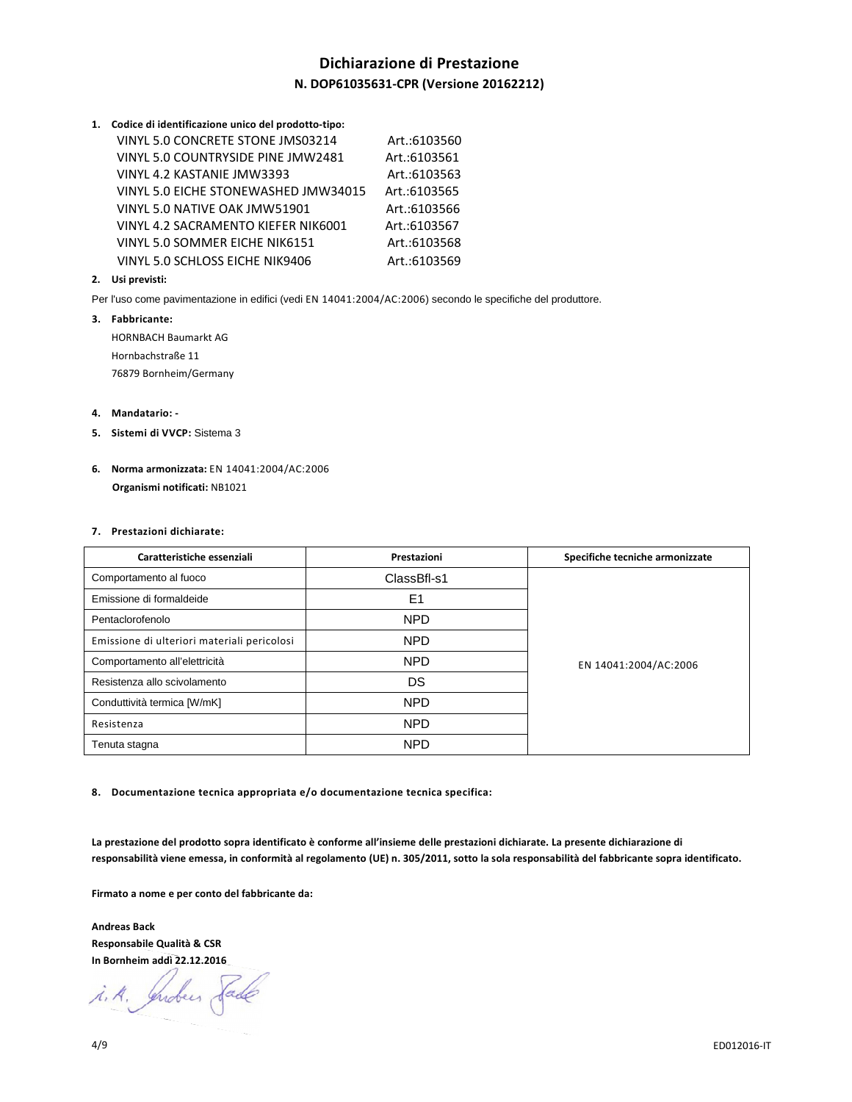# **Dichiarazione di Prestazione N. DOP61035631-CPR (Versione 20162212)**

| 1. Codice di identificazione unico del prodotto-tipo: |              |
|-------------------------------------------------------|--------------|
| VINYL 5.0 CONCRETE STONE JMS03214                     | Art.:6103560 |
| VINYL 5.0 COUNTRYSIDE PINE JMW2481                    | Art.:6103561 |
| VINYL 4.2 KASTANIE JMW3393                            | Art.:6103563 |
| VINYL 5.0 EICHE STONEWASHED JMW34015                  | Art.:6103565 |
| VINYL 5.0 NATIVE OAK JMW51901                         | Art.:6103566 |
| VINYL 4.2 SACRAMENTO KIEFER NIK6001                   | Art.:6103567 |
| VINYL 5.0 SOMMER EICHE NIK6151                        | Art.:6103568 |
| VINYL 5.0 SCHLOSS EICHE NIK9406                       | Art.:6103569 |

## **2. Usi previsti:**

Per l'uso come pavimentazione in edifici (vedi EN 14041:2004/AC:2006) secondo le specifiche del produttore.

**3. Fabbricante:**  HORNBACH Baumarkt AG Hornbachstraße 11

76879 Bornheim/Germany

#### **4. Mandatario: -**

- **5. Sistemi di VVCP:** Sistema 3
- **6. Norma armonizzata:** EN 14041:2004/AC:2006  **Organismi notificati:** NB1021

#### **7. Prestazioni dichiarate:**

| Caratteristiche essenziali                  | Prestazioni    | Specifiche tecniche armonizzate |
|---------------------------------------------|----------------|---------------------------------|
| Comportamento al fuoco                      | ClassBfl-s1    |                                 |
| Emissione di formaldeide                    | E <sub>1</sub> |                                 |
| Pentaclorofenolo                            | <b>NPD</b>     |                                 |
| Emissione di ulteriori materiali pericolosi | <b>NPD</b>     | EN 14041:2004/AC:2006           |
| Comportamento all'elettricità               | <b>NPD</b>     |                                 |
| Resistenza allo scivolamento                | DS             |                                 |
| Conduttività termica [W/mK]                 | <b>NPD</b>     |                                 |
| Resistenza                                  | <b>NPD</b>     |                                 |
| Tenuta stagna                               | <b>NPD</b>     |                                 |

**8. Documentazione tecnica appropriata e/o documentazione tecnica specifica:** 

**La prestazione del prodotto sopra identificato è conforme all'insieme delle prestazioni dichiarate. La presente dichiarazione di responsabilità viene emessa, in conformità al regolamento (UE) n. 305/2011, sotto la sola responsabilità del fabbricante sopra identificato.** 

**Firmato a nome e per conto del fabbricante da:** 

**Andreas Back Responsabile Qualità & CSR In Bornheim addì 22.12.2016**

i.A. Indees Sade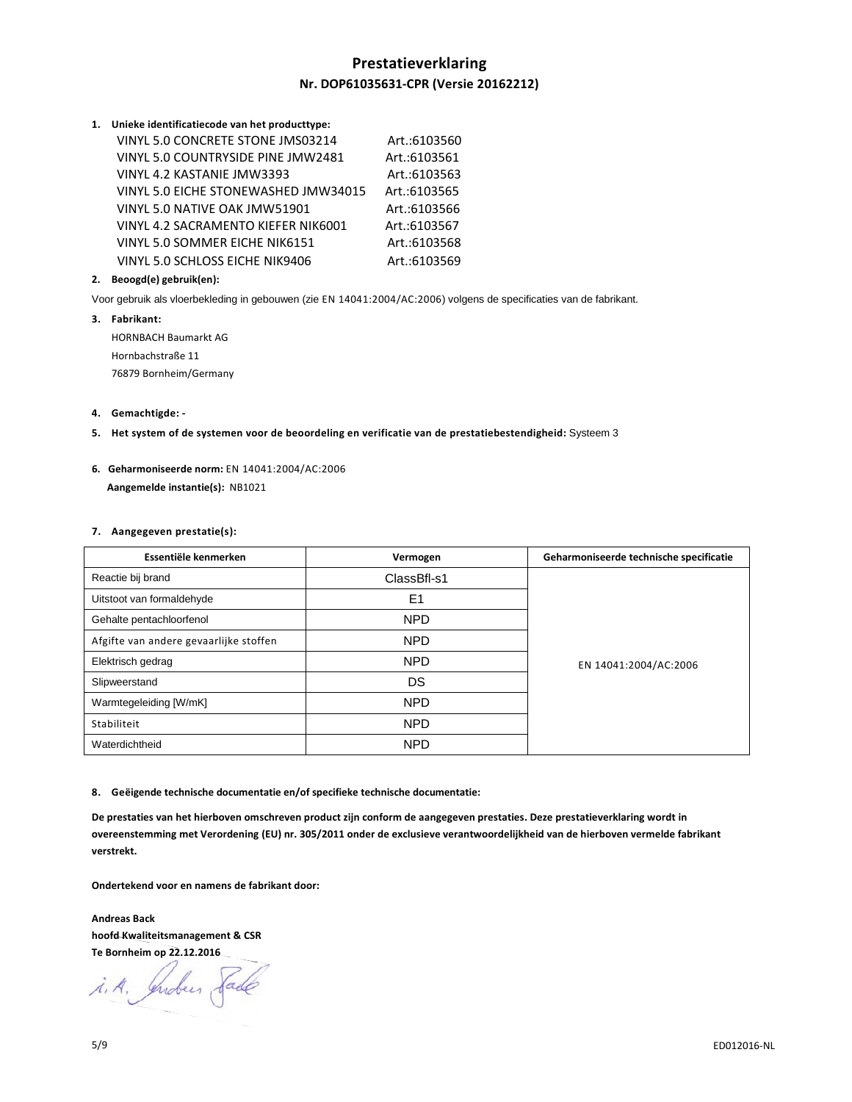# **Prestatieverklaring Nr. DOP61035631-CPR (Versie 20162212)**

#### **1. Unieke identificatiecode van het producttype:**

| VINYL 5.0 CONCRETE STONE JMS03214    | Art.:6103560 |
|--------------------------------------|--------------|
| VINYL 5.0 COUNTRYSIDE PINE JMW2481   | Art.:6103561 |
| VINYL 4.2 KASTANIE JMW3393           | Art.:6103563 |
| VINYL 5.0 EICHE STONEWASHED JMW34015 | Art.:6103565 |
| VINYL 5.0 NATIVE OAK JMW51901        | Art.:6103566 |
| VINYL 4.2 SACRAMENTO KIEFER NIK6001  | Art.:6103567 |
| VINYL 5.0 SOMMER EICHE NIK6151       | Art.:6103568 |
| VINYL 5.0 SCHLOSS EICHE NIK9406      | Art.:6103569 |

#### **2. Beoogd(e) gebruik(en):**

Voor gebruik als vloerbekleding in gebouwen (zie EN 14041:2004/AC:2006) volgens de specificaties van de fabrikant.

**3. Fabrikant:**  HORNBACH Baumarkt AG Hornbachstraße 11 76879 Bornheim/Germany

#### **4. Gemachtigde: -**

- **5. Het system of de systemen voor de beoordeling en verificatie van de prestatiebestendigheid:** Systeem 3
- **6. Geharmoniseerde norm:** EN 14041:2004/AC:2006  **Aangemelde instantie(s):** NB1021

#### **7. Aangegeven prestatie(s):**

| Essentiële kenmerken                   | Vermogen       | Geharmoniseerde technische specificatie |
|----------------------------------------|----------------|-----------------------------------------|
| Reactie bij brand                      | ClassBfl-s1    |                                         |
| Uitstoot van formaldehyde              | E <sub>1</sub> |                                         |
| Gehalte pentachloorfenol               | <b>NPD</b>     |                                         |
| Afgifte van andere gevaarlijke stoffen | <b>NPD</b>     | EN 14041:2004/AC:2006                   |
| Elektrisch gedrag                      | <b>NPD</b>     |                                         |
| Slipweerstand                          | DS             |                                         |
| Warmtegeleiding [W/mK]                 | <b>NPD</b>     |                                         |
| Stabiliteit                            | <b>NPD</b>     |                                         |
| Waterdichtheid                         | <b>NPD</b>     |                                         |

**8. Geëigende technische documentatie en/of specifieke technische documentatie:** 

**De prestaties van het hierboven omschreven product zijn conform de aangegeven prestaties. Deze prestatieverklaring wordt in overeenstemming met Verordening (EU) nr. 305/2011 onder de exclusieve verantwoordelijkheid van de hierboven vermelde fabrikant verstrekt.** 

**Ondertekend voor en namens de fabrikant door:** 

**Andreas Back hoofd Kwaliteitsmanagement & CSR Te Bornheim op 22.12.2016** 

i.A. Indees Sade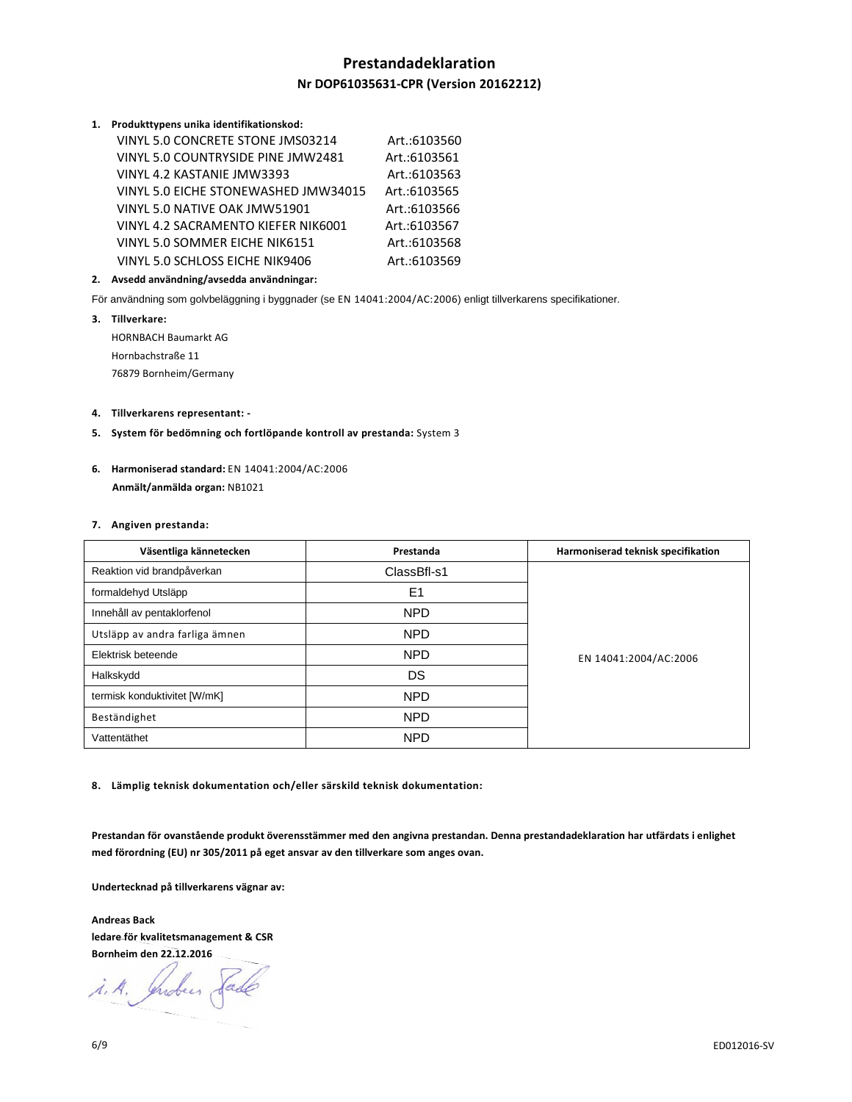# **Prestandadeklaration**

## **Nr DOP61035631-CPR (Version 20162212)**

#### **1. Produkttypens unika identifikationskod:**

| VINYL 5.0 CONCRETE STONE JMS03214    | Art.:6103560 |
|--------------------------------------|--------------|
| VINYL 5.0 COUNTRYSIDE PINE JMW2481   | Art.:6103561 |
| VINYL 4.2 KASTANIE JMW3393           | Art.:6103563 |
| VINYL 5.0 EICHE STONEWASHED JMW34015 | Art.:6103565 |
| VINYL 5.0 NATIVE OAK JMW51901        | Art.:6103566 |
| VINYL 4.2 SACRAMENTO KIEFER NIK6001  | Art.:6103567 |
| VINYL 5.0 SOMMER EICHE NIK6151       | Art.:6103568 |
| VINYL 5.0 SCHLOSS EICHE NIK9406      | Art.:6103569 |

#### **2. Avsedd användning/avsedda användningar:**

För användning som golvbeläggning i byggnader (se EN 14041:2004/AC:2006) enligt tillverkarens specifikationer.

**3. Tillverkare:**  HORNBACH Baumarkt AG Hornbachstraße 11 76879 Bornheim/Germany

#### **4. Tillverkarens representant: -**

- **5. System för bedömning och fortlöpande kontroll av prestanda:** System 3
- **6. Harmoniserad standard:** EN 14041:2004/AC:2006  **Anmält/anmälda organ:** NB1021

#### **7. Angiven prestanda:**

| Väsentliga kännetecken         | Prestanda      | Harmoniserad teknisk specifikation |
|--------------------------------|----------------|------------------------------------|
| Reaktion vid brandpåverkan     | ClassBfl-s1    |                                    |
| formaldehyd Utsläpp            | E <sub>1</sub> |                                    |
| Innehåll av pentaklorfenol     | <b>NPD</b>     |                                    |
| Utsläpp av andra farliga ämnen | <b>NPD</b>     | EN 14041:2004/AC:2006              |
| Elektrisk beteende             | <b>NPD</b>     |                                    |
| Halkskydd                      | DS             |                                    |
| termisk konduktivitet [W/mK]   | <b>NPD</b>     |                                    |
| Beständighet                   | <b>NPD</b>     |                                    |
| Vattentäthet                   | <b>NPD</b>     |                                    |

**8. Lämplig teknisk dokumentation och/eller särskild teknisk dokumentation:** 

**Prestandan för ovanstående produkt överensstämmer med den angivna prestandan. Denna prestandadeklaration har utfärdats i enlighet med förordning (EU) nr 305/2011 på eget ansvar av den tillverkare som anges ovan.** 

**Undertecknad på tillverkarens vägnar av:** 

**Andreas Back ledare för kvalitetsmanagement & CSR Bornheim den 22.12.2016** 

i.A. Indees Sade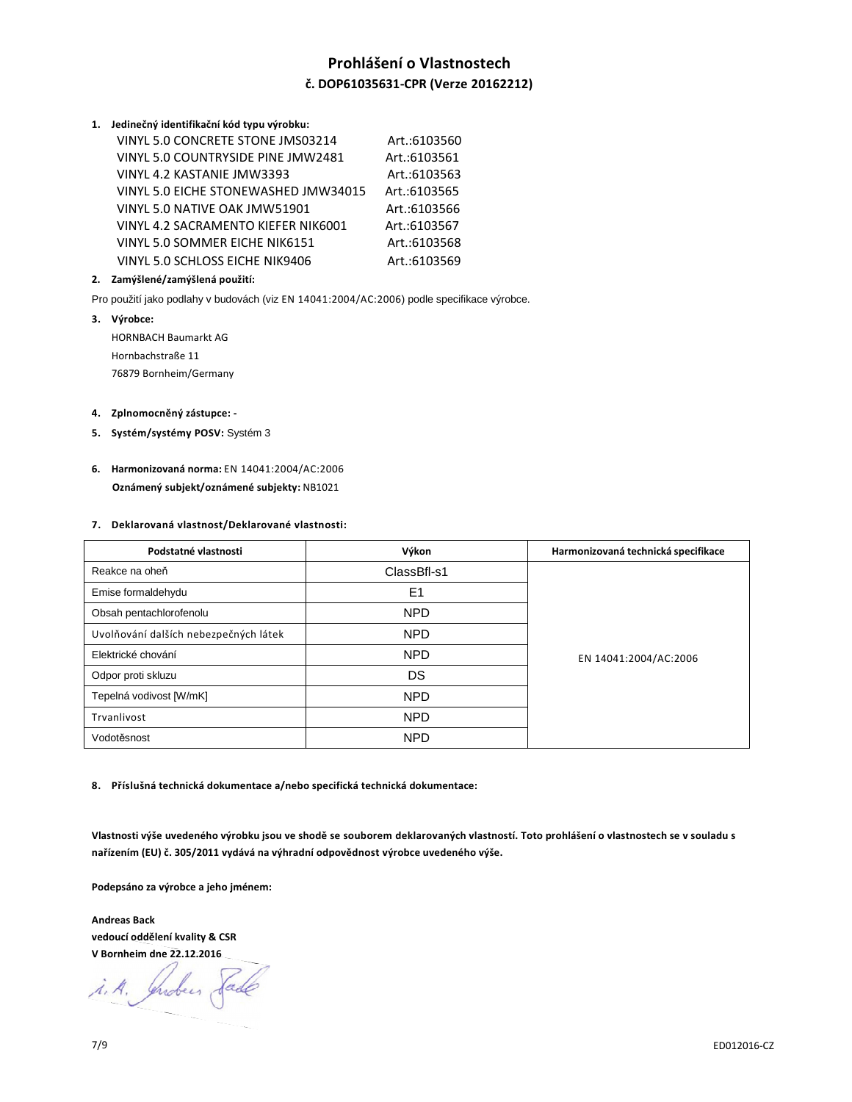# **Prohlášení o Vlastnostech č. DOP61035631-CPR (Verze 20162212)**

**1. Jedinečný identifikační kód typu výrobku:**

| VINYL 5.0 CONCRETE STONE JMS03214    | Art.:6103560 |
|--------------------------------------|--------------|
| VINYL 5.0 COUNTRYSIDE PINE JMW2481   | Art.:6103561 |
| VINYL 4.2 KASTANIE JMW3393           | Art.:6103563 |
| VINYL 5.0 EICHE STONEWASHED JMW34015 | Art.:6103565 |
| VINYL 5.0 NATIVE OAK JMW51901        | Art.:6103566 |
| VINYL 4.2 SACRAMENTO KIEFER NIK6001  | Art.:6103567 |
| VINYL 5.0 SOMMER EICHE NIK6151       | Art.:6103568 |
| VINYL 5.0 SCHLOSS EICHE NIK9406      | Art.:6103569 |

## **2. Zamýšlené/zamýšlená použití:**

Pro použití jako podlahy v budovách (viz EN 14041:2004/AC:2006) podle specifikace výrobce.

**3. Výrobce:**  HORNBACH Baumarkt AG Hornbachstraße 11 76879 Bornheim/Germany

## **4. Zplnomocněný zástupce: -**

- **5. Systém/systémy POSV:** Systém 3
- **6. Harmonizovaná norma:** EN 14041:2004/AC:2006  **Oznámený subjekt/oznámené subjekty:** NB1021

#### **7. Deklarovaná vlastnost/Deklarované vlastnosti:**

| Podstatné vlastnosti                  | Výkon          | Harmonizovaná technická specifikace |
|---------------------------------------|----------------|-------------------------------------|
| Reakce na oheň                        | ClassBfl-s1    | EN 14041:2004/AC:2006               |
| Emise formaldehydu                    | E <sub>1</sub> |                                     |
| Obsah pentachlorofenolu               | <b>NPD</b>     |                                     |
| Uvolňování dalších nebezpečných látek | <b>NPD</b>     |                                     |
| Elektrické chování                    | <b>NPD</b>     |                                     |
| Odpor proti skluzu                    | DS             |                                     |
| Tepelná vodivost [W/mK]               | <b>NPD</b>     |                                     |
| Trvanlivost                           | <b>NPD</b>     |                                     |
| Vodotěsnost                           | <b>NPD</b>     |                                     |

**8. Příslušná technická dokumentace a/nebo specifická technická dokumentace:** 

**Vlastnosti výše uvedeného výrobku jsou ve shodě se souborem deklarovaných vlastností. Toto prohlášení o vlastnostech se v souladu s nařízením (EU) č. 305/2011 vydává na výhradní odpovědnost výrobce uvedeného výše.** 

**Podepsáno za výrobce a jeho jménem:** 

**Andreas Back vedoucí oddělení kvality & CSR V Bornheim dne 22.12.2016** 

i.A. Indeer Sade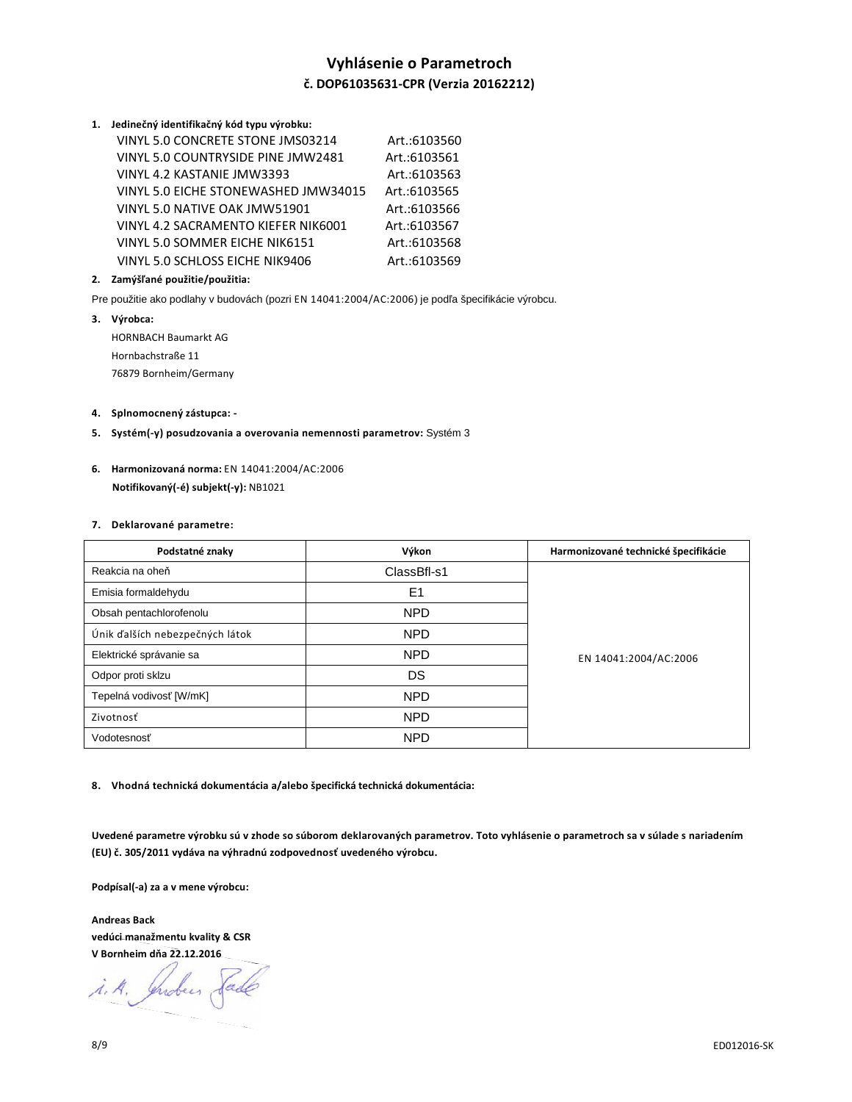# **Vyhlásenie o Parametroch č. DOP61035631-CPR (Verzia 20162212)**

**1. Jedinečný identifikačný kód typu výrobku:**

| VINYL 5.0 CONCRETE STONE JMS03214    | Art.:6103560 |
|--------------------------------------|--------------|
| VINYL 5.0 COUNTRYSIDE PINE JMW2481   | Art.:6103561 |
| VINYL 4.2 KASTANIE JMW3393           | Art.:6103563 |
| VINYL 5.0 EICHE STONEWASHED JMW34015 | Art.:6103565 |
| VINYL 5.0 NATIVE OAK JMW51901        | Art.:6103566 |
| VINYL 4.2 SACRAMENTO KIEFER NIK6001  | Art.:6103567 |
| VINYL 5.0 SOMMER EICHE NIK6151       | Art.:6103568 |
| VINYL 5.0 SCHLOSS EICHE NIK9406      | Art.:6103569 |

## **2. Zamýšľané použitie/použitia:**

Pre použitie ako podlahy v budovách (pozri EN 14041:2004/AC:2006) je podľa špecifikácie výrobcu.

**3. Výrobca:**  HORNBACH Baumarkt AG Hornbachstraße 11 76879 Bornheim/Germany

#### **4. Splnomocnený zástupca: -**

- **5. Systém(-y) posudzovania a overovania nemennosti parametrov:** Systém 3
- **6. Harmonizovaná norma:** EN 14041:2004/AC:2006  **Notifikovaný(-é) subjekt(-y):** NB1021

#### **7. Deklarované parametre:**

| Podstatné znaky                 | Výkon          | Harmonizované technické špecifikácie |
|---------------------------------|----------------|--------------------------------------|
| Reakcia na oheň                 | ClassBfl-s1    |                                      |
| Emisia formaldehydu             | E <sub>1</sub> |                                      |
| Obsah pentachlorofenolu         | <b>NPD</b>     | EN 14041:2004/AC:2006                |
| Únik ďalších nebezpečných látok | <b>NPD</b>     |                                      |
| Elektrické správanie sa         | <b>NPD</b>     |                                      |
| Odpor proti sklzu               | DS             |                                      |
| Tepelná vodivosť [W/mK]         | <b>NPD</b>     |                                      |
| Zivotnosť                       | <b>NPD</b>     |                                      |
| Vodotesnosť                     | <b>NPD</b>     |                                      |

**8. Vhodná technická dokumentácia a/alebo špecifická technická dokumentácia:** 

**Uvedené parametre výrobku sú v zhode so súborom deklarovaných parametrov. Toto vyhlásenie o parametroch sa v súlade s nariadením (EU) č. 305/2011 vydáva na výhradnú zodpovednosť uvedeného výrobcu.** 

**Podpísal(-a) za a v mene výrobcu:** 

**Andreas Back vedúci manažmentu kvality & CSR V Bornheim dňa 22.12.2016** 

i.A. Indees Sade